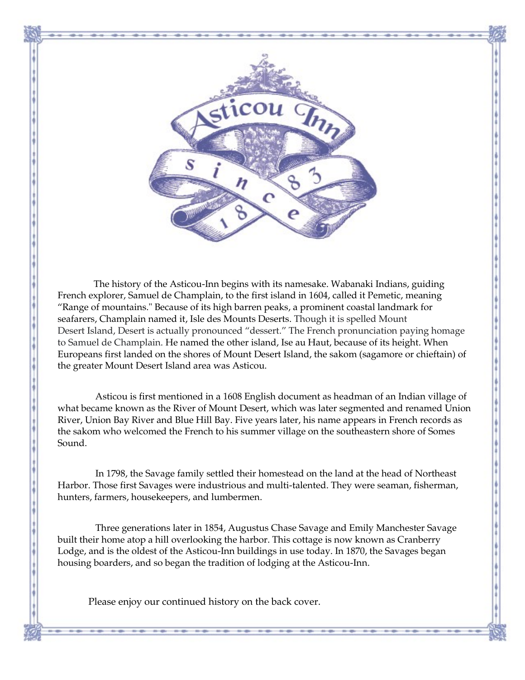

 The history of the Asticou-Inn begins with its namesake. Wabanaki Indians, guiding French explorer, Samuel de Champlain, to the first island in 1604, called it Pemetic, meaning "Range of mountains." Because of its high barren peaks, a prominent coastal landmark for seafarers, Champlain named it, Isle des Mounts Deserts. Though it is spelled Mount Desert Island, Desert is actually pronounced "dessert." The French pronunciation paying homage to Samuel de Champlain. He named the other island, Ise au Haut, because of its height. When Europeans first landed on the shores of Mount Desert Island, the sakom (sagamore or chieftain) of the greater Mount Desert Island area was Asticou.

Asticou is first mentioned in a 1608 English document as headman of an Indian village of what became known as the River of Mount Desert, which was later segmented and renamed Union River, Union Bay River and Blue Hill Bay. Five years later, his name appears in French records as the sakom who welcomed the French to his summer village on the southeastern shore of Somes Sound.

In 1798, the Savage family settled their homestead on the land at the head of Northeast Harbor. Those first Savages were industrious and multi-talented. They were seaman, fisherman, hunters, farmers, housekeepers, and lumbermen.

Three generations later in 1854, Augustus Chase Savage and Emily Manchester Savage built their home atop a hill overlooking the harbor. This cottage is now known as Cranberry Lodge, and is the oldest of the Asticou-Inn buildings in use today. In 1870, the Savages began housing boarders, and so began the tradition of lodging at the Asticou-Inn.

Please enjoy our continued history on the back cover.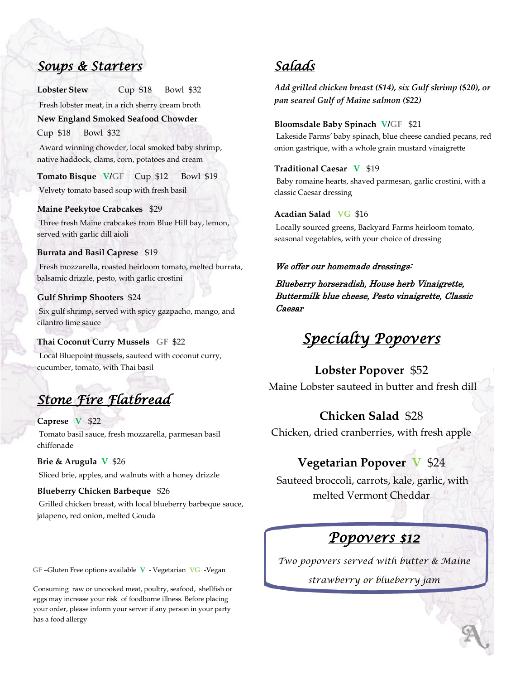### *Soups & Starters*

**Lobster Stew** Cup \$18 Bowl \$32

Fresh lobster meat, in a rich sherry cream broth **New England Smoked Seafood Chowder** 

Cup \$18 Bowl \$32

Award winning chowder, local smoked baby shrimp, native haddock, clams, corn, potatoes and cream

**Tomato Bisque V/GF** Cup \$12 Bowl \$19 Velvety tomato based soup with fresh basil

**Maine Peekytoe Crabcakes** \$29 Three fresh Maine crabcakes from Blue Hill bay, lemon, served with garlic dill aioli

### **Burrata and Basil Caprese** \$19

Fresh mozzarella, roasted heirloom tomato, melted burrata, balsamic drizzle, pesto, with garlic crostini

### **Gulf Shrimp Shooters** \$24

Six gulf shrimp, served with spicy gazpacho, mango, and cilantro lime sauce

### **Thai Coconut Curry Mussels GF** \$22

Local Bluepoint mussels, sauteed with coconut curry, cucumber, tomato, with Thai basil

# *Stone Fire Flatbread*

### **Caprese V** \$22

Tomato basil sauce, fresh mozzarella, parmesan basil chiffonade

**Brie & Arugula V** \$26 Sliced brie, apples, and walnuts with a honey drizzle

### **Blueberry Chicken Barbeque** \$26

Grilled chicken breast, with local blueberry barbeque sauce, jalapeno, red onion, melted Gouda

**GF** –Gluten Free options available **V** - Vegetarian **VG** -Vegan

Consuming raw or uncooked meat, poultry, seafood, shellfish or eggs may increase your risk of foodborne illness. Before placing your order, please inform your server if any person in your party has a food allergy

## *Salads*

*Add grilled chicken breast (\$14), six Gulf shrimp (\$20), or pan seared Gulf of Maine salmon (\$22)*

#### **Bloomsdale Baby Spinach V/GF** \$21

Lakeside Farms' baby spinach, blue cheese candied pecans, red onion gastrique, with a whole grain mustard vinaigrette

### **Traditional Caesar V** \$19

Baby romaine hearts, shaved parmesan, garlic crostini, with a classic Caesar dressing

### **Acadian Salad VG** \$16

Locally sourced greens, Backyard Farms heirloom tomato, seasonal vegetables, with your choice of dressing

### We offer our homemade dressings:

Blueberry horseradish, House herb Vinaigrette, Buttermilk blue cheese, Pesto vinaigrette, Classic Caesar

## *Specialty Popovers*

### **Lobster Popover** \$52

Maine Lobster sauteed in butter and fresh dill

### **Chicken Salad** \$28

Chicken, dried cranberries, with fresh apple

### **Vegetarian Popover V** \$24

Sauteed broccoli, carrots, kale, garlic, with melted Vermont Cheddar

## *Popovers \$12*

*Two popovers served with butter & Maine* 

*strawberry or blueberry jam*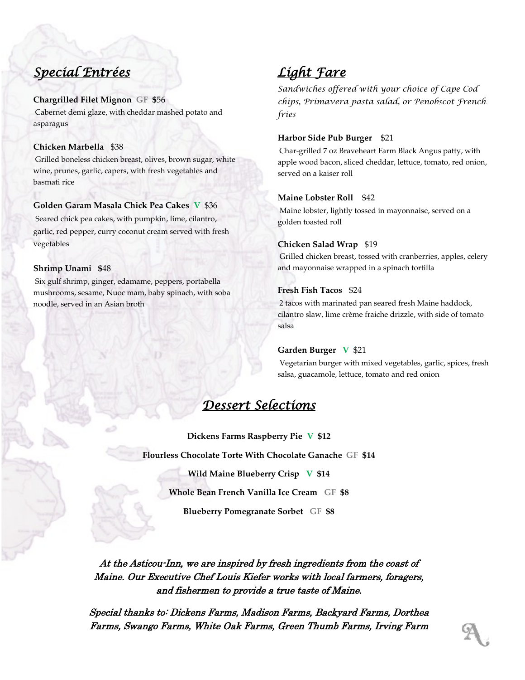## *Special Entrées*

### **Chargrilled Filet Mignon GF \$**56

Cabernet demi glaze, with cheddar mashed potato and asparagus

### **Chicken Marbella** \$38

Grilled boneless chicken breast, olives, brown sugar, white wine, prunes, garlic, capers, with fresh vegetables and basmati rice

### **Golden Garam Masala Chick Pea Cakes V** \$36

Seared chick pea cakes, with pumpkin, lime, cilantro, garlic, red pepper, curry coconut cream served with fresh vegetables

### **Shrimp Unami \$**48

Six gulf shrimp, ginger, edamame, peppers, portabella mushrooms, sesame, Nuoc mam, baby spinach, with soba noodle, served in an Asian broth

## *Light Fare*

*Sandwiches offered with your choice of Cape Cod chips, Primavera pasta salad, or Penobscot French fries* 

### **Harbor Side Pub Burger** \$21

Char-grilled 7 oz Braveheart Farm Black Angus patty, with apple wood bacon, sliced cheddar, lettuce, tomato, red onion, served on a kaiser roll

### **Maine Lobster Roll** \$42

Maine lobster, lightly tossed in mayonnaise, served on a golden toasted roll

### **Chicken Salad Wrap** \$19

Grilled chicken breast, tossed with cranberries, apples, celery and mayonnaise wrapped in a spinach tortilla

### **Fresh Fish Tacos** \$24

2 tacos with marinated pan seared fresh Maine haddock, cilantro slaw, lime crème fraiche drizzle, with side of tomato salsa

### **Garden Burger V** \$21

Vegetarian burger with mixed vegetables, garlic, spices, fresh salsa, guacamole, lettuce, tomato and red onion

## *Dessert Selections*

**Dickens Farms Raspberry Pie V \$12 Flourless Chocolate Torte With Chocolate Ganache GF \$14 Wild Maine Blueberry Crisp V \$14 Whole Bean French Vanilla Ice Cream GF \$8 Blueberry Pomegranate Sorbet GF \$8**

At the Asticou-Inn, we are inspired by fresh ingredients from the coast of Maine. Our Executive Chef Louis Kiefer works with local farmers, foragers, and fishermen to provide a true taste of Maine.

Special thanks to: Dickens Farms, Madison Farms, Backyard Farms, Dorthea Farms, Swango Farms, White Oak Farms, Green Thumb Farms, Irving Farm